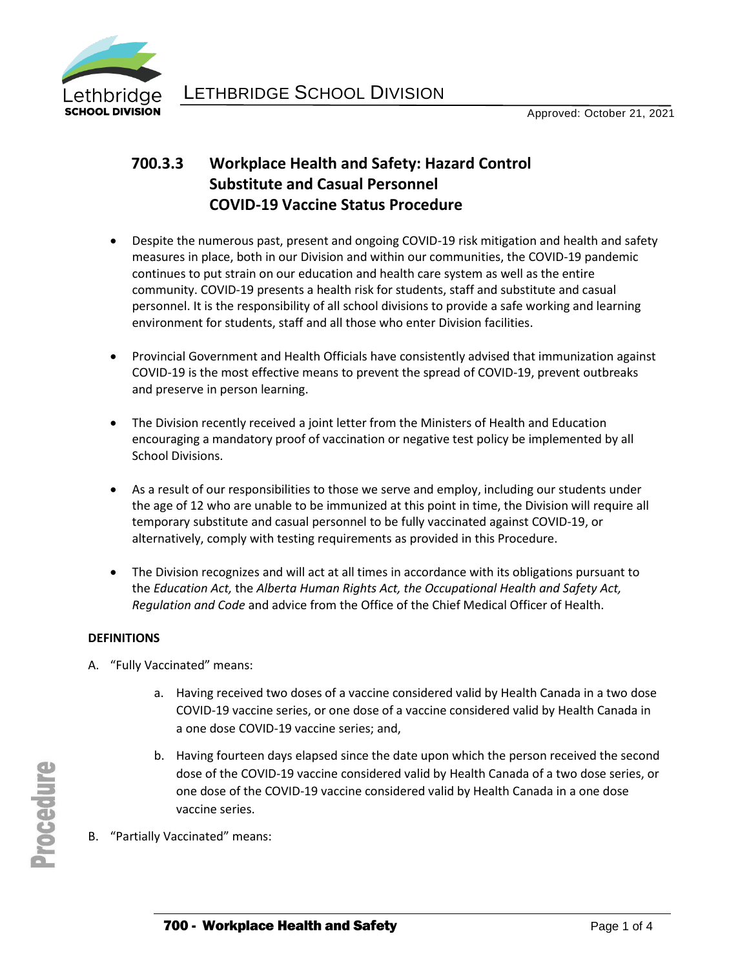

# **700.3.3 Workplace Health and Safety: Hazard Control Substitute and Casual Personnel COVID-19 Vaccine Status Procedure**

- Despite the numerous past, present and ongoing COVID-19 risk mitigation and health and safety measures in place, both in our Division and within our communities, the COVID-19 pandemic continues to put strain on our education and health care system as well as the entire community. COVID-19 presents a health risk for students, staff and substitute and casual personnel. It is the responsibility of all school divisions to provide a safe working and learning environment for students, staff and all those who enter Division facilities.
- Provincial Government and Health Officials have consistently advised that immunization against COVID-19 is the most effective means to prevent the spread of COVID-19, prevent outbreaks and preserve in person learning.
- The Division recently received a joint letter from the Ministers of Health and Education encouraging a mandatory proof of vaccination or negative test policy be implemented by all School Divisions.
- As a result of our responsibilities to those we serve and employ, including our students under the age of 12 who are unable to be immunized at this point in time, the Division will require all temporary substitute and casual personnel to be fully vaccinated against COVID-19, or alternatively, comply with testing requirements as provided in this Procedure.
- The Division recognizes and will act at all times in accordance with its obligations pursuant to the *Education Act,* the *Alberta Human Rights Act, the Occupational Health and Safety Act, Regulation and Code* and advice from the Office of the Chief Medical Officer of Health.

#### **DEFINITIONS**

- A. "Fully Vaccinated" means:
	- a. Having received two doses of a vaccine considered valid by Health Canada in a two dose COVID-19 vaccine series, or one dose of a vaccine considered valid by Health Canada in a one dose COVID-19 vaccine series; and,
	- b. Having fourteen days elapsed since the date upon which the person received the second dose of the COVID-19 vaccine considered valid by Health Canada of a two dose series, or one dose of the COVID-19 vaccine considered valid by Health Canada in a one dose vaccine series.
- B. "Partially Vaccinated" means: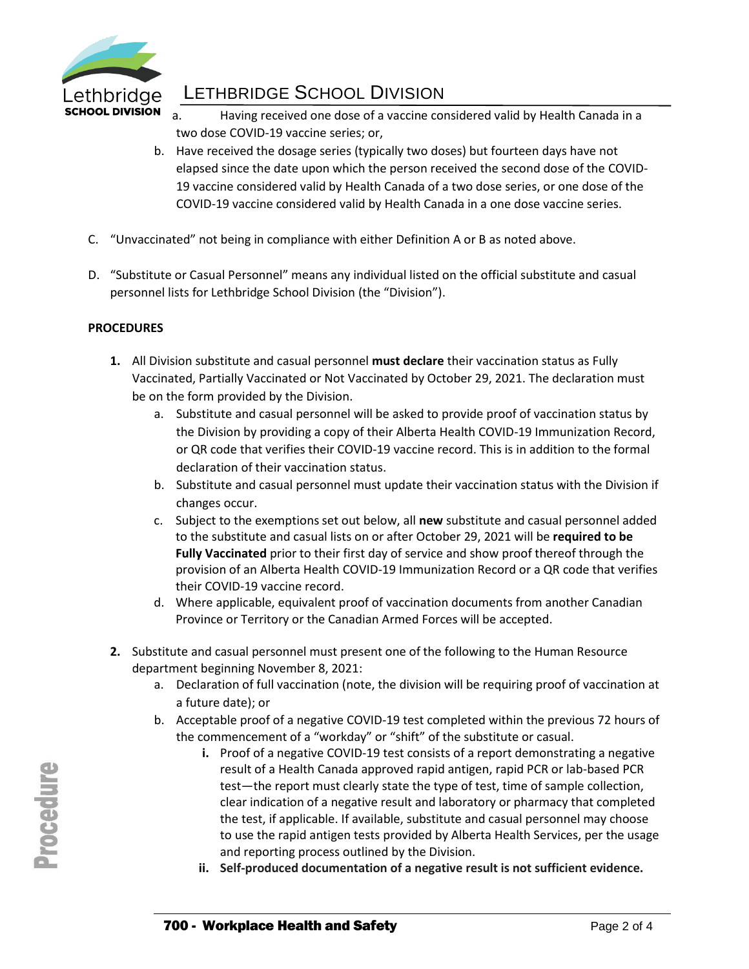

# LETHBRIDGE SCHOOL DIVISION

- a. Having received one dose of a vaccine considered valid by Health Canada in a two dose COVID-19 vaccine series; or,
- b. Have received the dosage series (typically two doses) but fourteen days have not elapsed since the date upon which the person received the second dose of the COVID-19 vaccine considered valid by Health Canada of a two dose series, or one dose of the COVID-19 vaccine considered valid by Health Canada in a one dose vaccine series.
- C. "Unvaccinated" not being in compliance with either Definition A or B as noted above.
- D. "Substitute or Casual Personnel" means any individual listed on the official substitute and casual personnel lists for Lethbridge School Division (the "Division").

# **PROCEDURES**

- **1.** All Division substitute and casual personnel **must declare** their vaccination status as Fully Vaccinated, Partially Vaccinated or Not Vaccinated by October 29, 2021. The declaration must be on the form provided by the Division.
	- a. Substitute and casual personnel will be asked to provide proof of vaccination status by the Division by providing a copy of their Alberta Health COVID-19 Immunization Record, or QR code that verifies their COVID-19 vaccine record. This is in addition to the formal declaration of their vaccination status.
	- b. Substitute and casual personnel must update their vaccination status with the Division if changes occur.
	- c. Subject to the exemptions set out below, all **new** substitute and casual personnel added to the substitute and casual lists on or after October 29, 2021 will be **required to be Fully Vaccinated** prior to their first day of service and show proof thereof through the provision of an Alberta Health COVID-19 Immunization Record or a QR code that verifies their COVID-19 vaccine record.
	- d. Where applicable, equivalent proof of vaccination documents from another Canadian Province or Territory or the Canadian Armed Forces will be accepted.
- **2.** Substitute and casual personnel must present one of the following to the Human Resource department beginning November 8, 2021:
	- a. Declaration of full vaccination (note, the division will be requiring proof of vaccination at a future date); or
	- b. Acceptable proof of a negative COVID-19 test completed within the previous 72 hours of the commencement of a "workday" or "shift" of the substitute or casual.
		- **i.** Proof of a negative COVID-19 test consists of a report demonstrating a negative result of a Health Canada approved rapid antigen, rapid PCR or lab-based PCR test—the report must clearly state the type of test, time of sample collection, clear indication of a negative result and laboratory or pharmacy that completed the test, if applicable. If available, substitute and casual personnel may choose to use the rapid antigen tests provided by Alberta Health Services, per the usage and reporting process outlined by the Division.
		- **ii. Self-produced documentation of a negative result is not sufficient evidence.**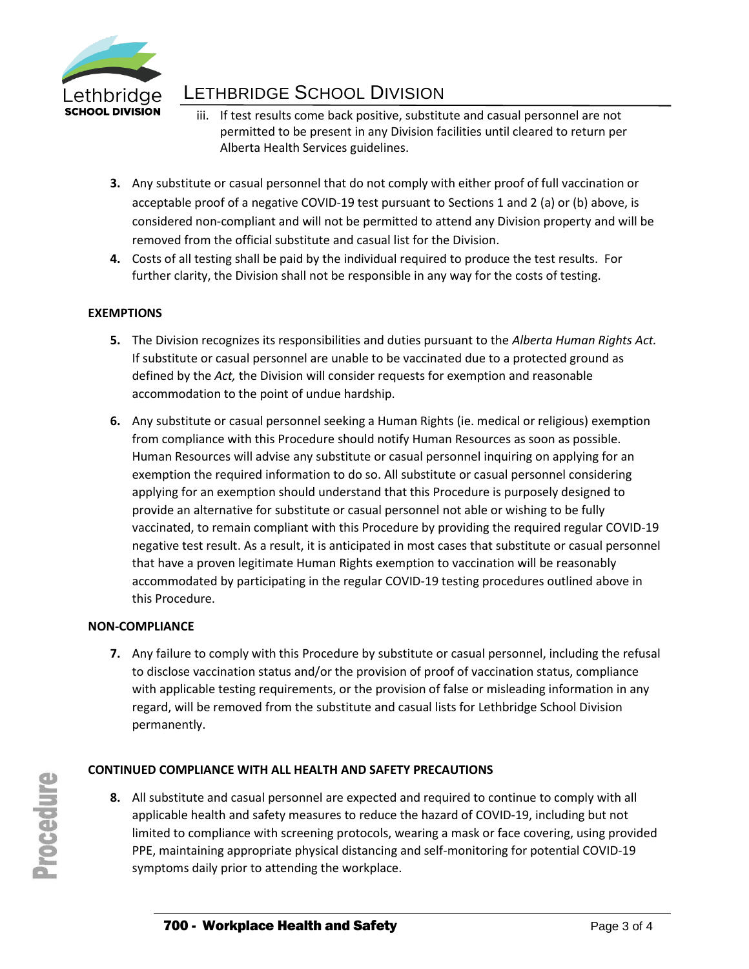

# LETHBRIDGE SCHOOL DIVISION

- iii. If test results come back positive, substitute and casual personnel are not permitted to be present in any Division facilities until cleared to return per Alberta Health Services guidelines.
- **3.** Any substitute or casual personnel that do not comply with either proof of full vaccination or acceptable proof of a negative COVID-19 test pursuant to Sections 1 and 2 (a) or (b) above, is considered non-compliant and will not be permitted to attend any Division property and will be removed from the official substitute and casual list for the Division.
- **4.** Costs of all testing shall be paid by the individual required to produce the test results. For further clarity, the Division shall not be responsible in any way for the costs of testing.

# **EXEMPTIONS**

- **5.** The Division recognizes its responsibilities and duties pursuant to the *Alberta Human Rights Act.*  If substitute or casual personnel are unable to be vaccinated due to a protected ground as defined by the *Act,* the Division will consider requests for exemption and reasonable accommodation to the point of undue hardship.
- **6.** Any substitute or casual personnel seeking a Human Rights (ie. medical or religious) exemption from compliance with this Procedure should notify Human Resources as soon as possible. Human Resources will advise any substitute or casual personnel inquiring on applying for an exemption the required information to do so. All substitute or casual personnel considering applying for an exemption should understand that this Procedure is purposely designed to provide an alternative for substitute or casual personnel not able or wishing to be fully vaccinated, to remain compliant with this Procedure by providing the required regular COVID-19 negative test result. As a result, it is anticipated in most cases that substitute or casual personnel that have a proven legitimate Human Rights exemption to vaccination will be reasonably accommodated by participating in the regular COVID-19 testing procedures outlined above in this Procedure.

#### **NON-COMPLIANCE**

**7.** Any failure to comply with this Procedure by substitute or casual personnel, including the refusal to disclose vaccination status and/or the provision of proof of vaccination status, compliance with applicable testing requirements, or the provision of false or misleading information in any regard, will be removed from the substitute and casual lists for Lethbridge School Division permanently.

# **CONTINUED COMPLIANCE WITH ALL HEALTH AND SAFETY PRECAUTIONS**

**8.** All substitute and casual personnel are expected and required to continue to comply with all applicable health and safety measures to reduce the hazard of COVID-19, including but not limited to compliance with screening protocols, wearing a mask or face covering, using provided PPE, maintaining appropriate physical distancing and self-monitoring for potential COVID-19 symptoms daily prior to attending the workplace.